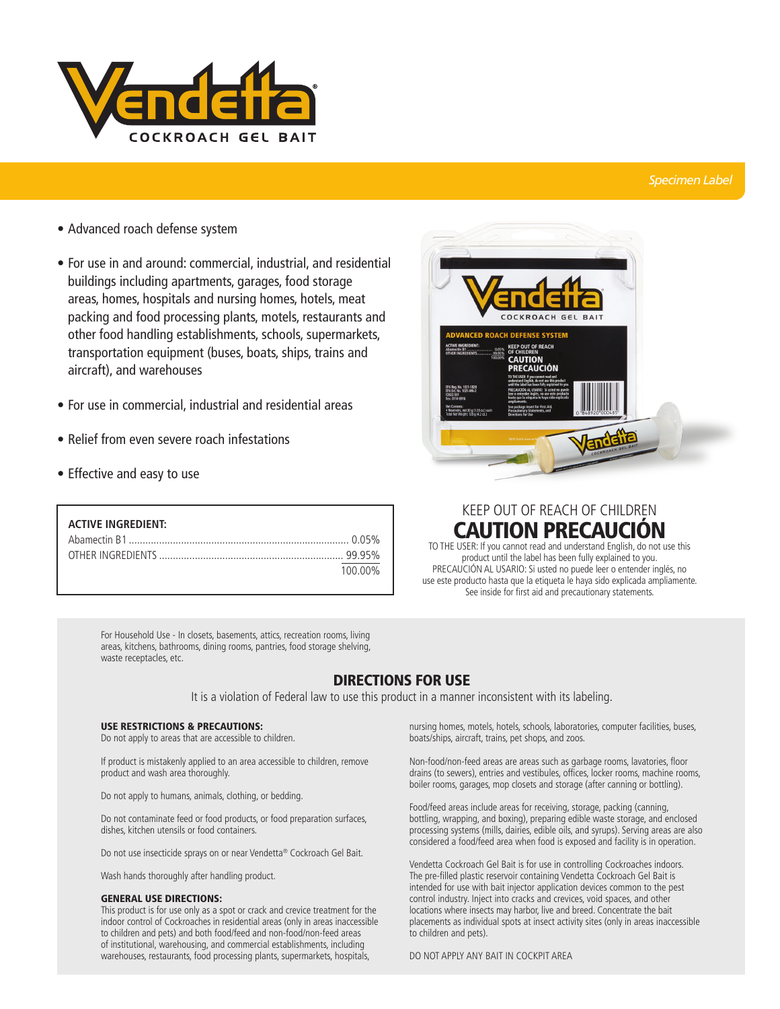

### *Specimen Label*

- **•** Advanced roach defense system
- **•** For use in and around: commercial, industrial, and residential buildings including apartments, garages, food storage areas, homes, hospitals and nursing homes, hotels, meat packing and food processing plants, motels, restaurants and other food handling establishments, schools, supermarkets, transportation equipment (buses, boats, ships, trains and aircraft), and warehouses
- **•** For use in commercial, industrial and residential areas
- **•** Relief from even severe roach infestations
- **•** Effective and easy to use

| <b>ACTIVE INGREDIENT:</b> |         |
|---------------------------|---------|
|                           |         |
|                           |         |
|                           | 100 00% |

For Household Use - In closets, basements, attics, recreation rooms, living areas, kitchens, bathrooms, dining rooms, pantries, food storage shelving, waste receptacles, etc.

## DIRECTIONS FOR USE

It is a violation of Federal law to use this product in a manner inconsistent with its labeling.

#### USE RESTRICTIONS & PRECAUTIONS:

Do not apply to areas that are accessible to children.

If product is mistakenly applied to an area accessible to children, remove product and wash area thoroughly.

Do not apply to humans, animals, clothing, or bedding.

Do not contaminate feed or food products, or food preparation surfaces, dishes, kitchen utensils or food containers.

Do not use insecticide sprays on or near Vendetta® Cockroach Gel Bait.

Wash hands thoroughly after handling product.

#### GENERAL USE DIRECTIONS:

This product is for use only as a spot or crack and crevice treatment for the indoor control of Cockroaches in residential areas (only in areas inaccessible to children and pets) and both food/feed and non-food/non-feed areas of institutional, warehousing, and commercial establishments, including warehouses, restaurants, food processing plants, supermarkets, hospitals,



# KEEP OUT OF REACH OF CHILDREN **CAUTION PRECAUCION**

TO THE USER: If you cannot read and understand English, do not use this product until the label has been fully explained to you. PRECAUCIÓN AL USARIO: Si usted no puede leer o entender inglés, no use este producto hasta que la etiqueta le haya sido explicada ampliamente. See inside for first aid and precautionary statements.

nursing homes, motels, hotels, schools, laboratories, computer facilities, buses, boats/ships, aircraft, trains, pet shops, and zoos.

Non-food/non-feed areas are areas such as garbage rooms, lavatories, floor drains (to sewers), entries and vestibules, offices, locker rooms, machine rooms, boiler rooms, garages, mop closets and storage (after canning or bottling).

Food/feed areas include areas for receiving, storage, packing (canning, bottling, wrapping, and boxing), preparing edible waste storage, and enclosed processing systems (mills, dairies, edible oils, and syrups). Serving areas are also considered a food/feed area when food is exposed and facility is in operation.

Vendetta Cockroach Gel Bait is for use in controlling Cockroaches indoors. The pre-filled plastic reservoir containing Vendetta Cockroach Gel Bait is intended for use with bait injector application devices common to the pest control industry. Inject into cracks and crevices, void spaces, and other locations where insects may harbor, live and breed. Concentrate the bait placements as individual spots at insect activity sites (only in areas inaccessible to children and pets).

DO NOT APPLY ANY BAIT IN COCKPIT AREA